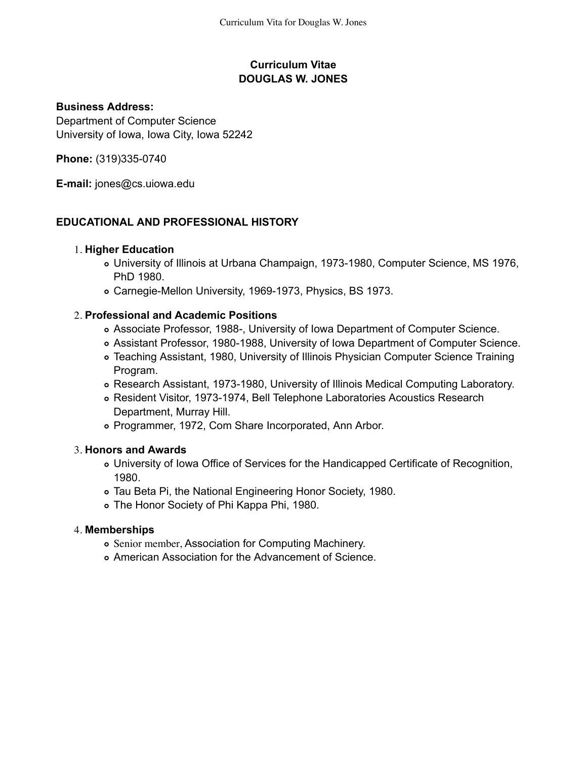## **Curriculum Vitae DOUGLAS W. JONES**

### **Business Address:**

Department of Computer Science University of Iowa, Iowa City, Iowa 52242

**Phone:** (319)335-0740

**E-mail:** jones@cs.uiowa.edu

## **EDUCATIONAL AND PROFESSIONAL HISTORY**

### **Higher Education** 1.

- University of Illinois at Urbana Champaign, 1973-1980, Computer Science, MS 1976, PhD 1980.
- Carnegie-Mellon University, 1969-1973, Physics, BS 1973.

### **Professional and Academic Positions** 2.

- Associate Professor, 1988-, University of Iowa Department of Computer Science.
- Assistant Professor, 1980-1988, University of Iowa Department of Computer Science.
- Teaching Assistant, 1980, University of Illinois Physician Computer Science Training Program.
- Research Assistant, 1973-1980, University of Illinois Medical Computing Laboratory.
- Resident Visitor, 1973-1974, Bell Telephone Laboratories Acoustics Research Department, Murray Hill.
- Programmer, 1972, Com Share Incorporated, Ann Arbor.

### **Honors and Awards** 3.

- University of Iowa Office of Services for the Handicapped Certificate of Recognition, 1980.
- Tau Beta Pi, the National Engineering Honor Society, 1980.
- The Honor Society of Phi Kappa Phi, 1980.

### **Memberships** 4.

- Senior member, Association for Computing Machinery.
- American Association for the Advancement of Science.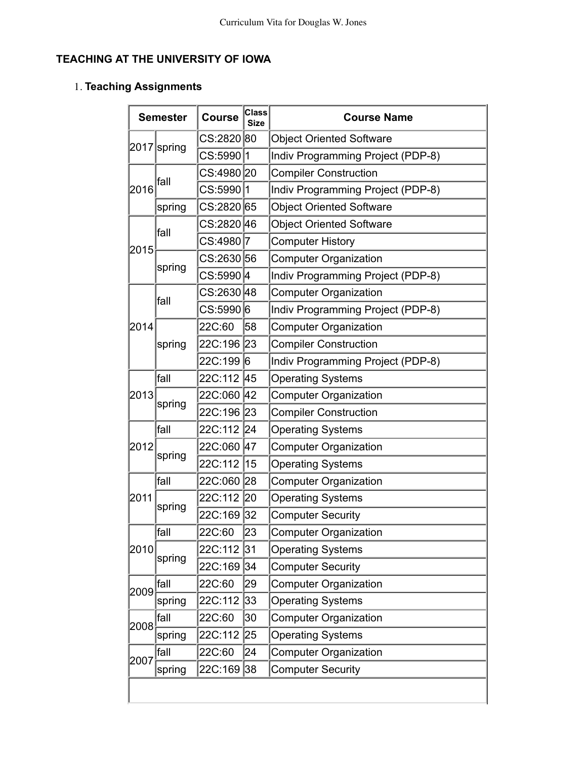# **TEACHING AT THE UNIVERSITY OF IOWA**

### **Teaching Assignments** 1.

| <b>Semester</b> |             | <b>Course</b>          | <b>Class</b><br><b>Size</b> | <b>Course Name</b>                |
|-----------------|-------------|------------------------|-----------------------------|-----------------------------------|
|                 | 2017 spring | CS:2820 80             |                             | <b>Object Oriented Software</b>   |
|                 |             | CS:5990 <i>\</i> 1     |                             | Indiv Programming Project (PDP-8) |
| 2016            | fall        | CS:4980 20             |                             | <b>Compiler Construction</b>      |
|                 |             | CS:5990 1              |                             | Indiv Programming Project (PDP-8) |
|                 | spring      | CS:2820 65             |                             | <b>Object Oriented Software</b>   |
|                 | fall        | CS:2820∣46             |                             | <b>Object Oriented Software</b>   |
|                 |             | CS:4980 <i>∖</i> 7     |                             | <b>Computer History</b>           |
| 2015            |             | CS:263056              |                             | <b>Computer Organization</b>      |
|                 | spring      | CS:5990 <sup> </sup> 4 |                             | Indiv Programming Project (PDP-8) |
|                 |             | CS:2630 48             |                             | <b>Computer Organization</b>      |
|                 | fall        | CS:5990 6              |                             | Indiv Programming Project (PDP-8) |
| 2014            |             | 22C:60                 | 58                          | <b>Computer Organization</b>      |
|                 | spring      | 22C:196 23             |                             | <b>Compiler Construction</b>      |
|                 |             | 22C:1996               |                             | Indiv Programming Project (PDP-8) |
|                 | fall        | 22C:112                | 45                          | <b>Operating Systems</b>          |
| 2013            | spring      | 22C:060 42             |                             | <b>Computer Organization</b>      |
|                 |             | 22C:196 <sub>23</sub>  |                             | <b>Compiler Construction</b>      |
|                 | fall        | 22C:112                | 24                          | <b>Operating Systems</b>          |
| 2012            | spring      | 22C:060 47             |                             | <b>Computer Organization</b>      |
|                 |             | 22C:112                | 15                          | <b>Operating Systems</b>          |
|                 | lfall       | 22C:060 28             |                             | <b>Computer Organization</b>      |
| 2011            | spring      | 22C:112                | 20                          | <b>Operating Systems</b>          |
|                 |             | 22C:169 <sub>32</sub>  |                             | <b>Computer Security</b>          |
|                 | fall        | 22C:60                 | 23                          | <b>Computer Organization</b>      |
| 2010            |             | 22C:112 31             |                             | <b>Operating Systems</b>          |
|                 | spring      | 22C:169 <sub>34</sub>  |                             | <b>Computer Security</b>          |
|                 | fall        | 22C:60                 | 29                          | <b>Computer Organization</b>      |
| 2009            | spring      | 22C:112                | 33                          | <b>Operating Systems</b>          |
| 2008            | fall        | 22C:60                 | 30                          | <b>Computer Organization</b>      |
|                 | spring      | 22C:112                | 25                          | <b>Operating Systems</b>          |
|                 | fall        | 22C:60                 | 24                          | <b>Computer Organization</b>      |
| 2007            | spring      | 22C:169 38             |                             | <b>Computer Security</b>          |
|                 |             |                        |                             |                                   |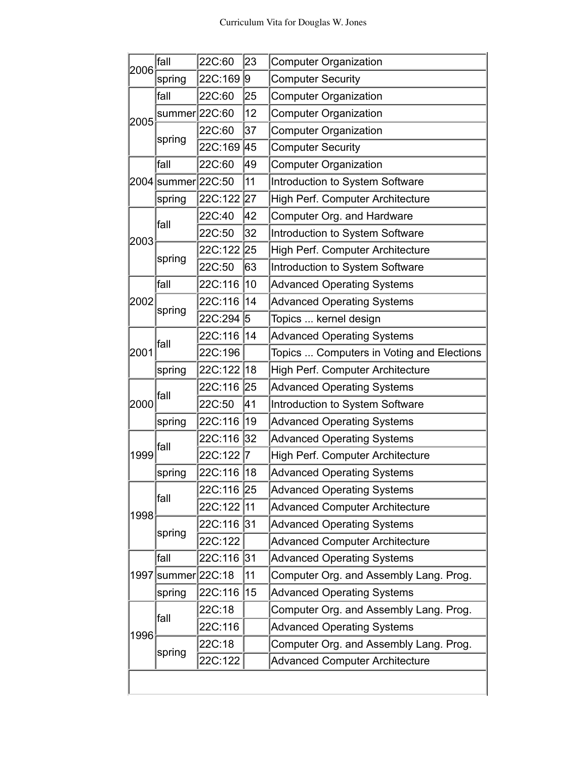|      | fall               | 22C:60  | 23 | <b>Computer Organization</b>              |  |
|------|--------------------|---------|----|-------------------------------------------|--|
| 2006 | spring             | 22C:169 | 9  | <b>Computer Security</b>                  |  |
| 2005 | fall               | 22C:60  | 25 | <b>Computer Organization</b>              |  |
|      | summer 22C:60      |         | 12 | <b>Computer Organization</b>              |  |
|      | spring             | 22C:60  | 37 | <b>Computer Organization</b>              |  |
|      |                    | 22C:169 | 45 | <b>Computer Security</b>                  |  |
|      | fall               | 22C:60  | 49 | <b>Computer Organization</b>              |  |
|      | 2004 summer 22C:50 |         | 11 | Introduction to System Software           |  |
|      | spring             | 22C:122 | 27 | High Perf. Computer Architecture          |  |
|      | fall               | 22C:40  | 42 | Computer Org. and Hardware                |  |
| 2003 |                    | 22C:50  | 32 | Introduction to System Software           |  |
|      |                    | 22C:122 | 25 | High Perf. Computer Architecture          |  |
|      | spring             | 22C:50  | 63 | Introduction to System Software           |  |
|      | fall               | 22C:116 | 10 | <b>Advanced Operating Systems</b>         |  |
| 2002 |                    | 22C:116 | 14 | <b>Advanced Operating Systems</b>         |  |
|      | spring             | 22C:294 | 5  | Topics  kernel design                     |  |
|      | fall               | 22C:116 | 14 | <b>Advanced Operating Systems</b>         |  |
| 2001 |                    | 22C:196 |    | Topics  Computers in Voting and Elections |  |
|      | spring             | 22C:122 | 18 | High Perf. Computer Architecture          |  |
|      | fall               | 22C:116 | 25 | <b>Advanced Operating Systems</b>         |  |
| 2000 |                    | 22C:50  | 41 | Introduction to System Software           |  |
|      | spring             | 22C:116 | 19 | <b>Advanced Operating Systems</b>         |  |
|      | fall               | 22C:116 | 32 | <b>Advanced Operating Systems</b>         |  |
| 1999 |                    | 22C:122 | 7  | High Perf. Computer Architecture          |  |
|      | spring             | 22C:116 | 18 | <b>Advanced Operating Systems</b>         |  |
|      | fall               | 22C:116 | 25 | <b>Advanced Operating Systems</b>         |  |
| 1998 |                    | 22C:122 | 11 | <b>Advanced Computer Architecture</b>     |  |
|      | spring             | 22C:116 | 31 | <b>Advanced Operating Systems</b>         |  |
|      |                    | 22C:122 |    | <b>Advanced Computer Architecture</b>     |  |
|      | fall               | 22C:116 | 31 | <b>Advanced Operating Systems</b>         |  |
|      | 1997 summer 22C:18 |         | 11 | Computer Org. and Assembly Lang. Prog.    |  |
|      | spring             | 22C:116 | 15 | <b>Advanced Operating Systems</b>         |  |
|      | fall               | 22C:18  |    | Computer Org. and Assembly Lang. Prog.    |  |
| 1996 |                    | 22C:116 |    | <b>Advanced Operating Systems</b>         |  |
|      | spring             | 22C:18  |    | Computer Org. and Assembly Lang. Prog.    |  |
|      |                    | 22C:122 |    | <b>Advanced Computer Architecture</b>     |  |
|      |                    |         |    |                                           |  |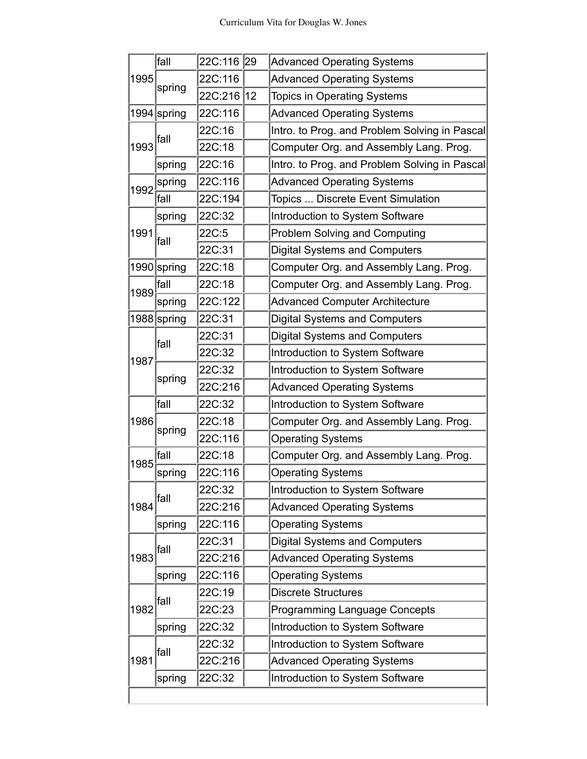|      | fall                                                          | 22C:116 | 29 | <b>Advanced Operating Systems</b>             |
|------|---------------------------------------------------------------|---------|----|-----------------------------------------------|
| 1995 | spring                                                        | 22C:116 |    | <b>Advanced Operating Systems</b>             |
|      |                                                               | 22C:216 | 12 | <b>Topics in Operating Systems</b>            |
|      | $1994$ spring<br>22C:116                                      |         |    | <b>Advanced Operating Systems</b>             |
| 1993 |                                                               | 22C:16  |    | Intro. to Prog. and Problem Solving in Pascal |
|      | fall                                                          | 22C:18  |    | Computer Org. and Assembly Lang. Prog.        |
|      | spring                                                        | 22C:16  |    | Intro. to Prog. and Problem Solving in Pascal |
| 1992 | spring                                                        | 22C:116 |    | <b>Advanced Operating Systems</b>             |
|      | fall                                                          | 22C:194 |    | Topics  Discrete Event Simulation             |
|      | spring                                                        | 22C:32  |    | Introduction to System Software               |
| 1991 | fall                                                          | 22C:5   |    | Problem Solving and Computing                 |
|      |                                                               | 22C:31  |    | <b>Digital Systems and Computers</b>          |
|      | 1990 spring                                                   | 22C:18  |    | Computer Org. and Assembly Lang. Prog.        |
| 1989 | fall                                                          | 22C:18  |    | Computer Org. and Assembly Lang. Prog.        |
|      | spring                                                        | 22C:122 |    | <b>Advanced Computer Architecture</b>         |
|      | 1988 spring<br>22C:31<br><b>Digital Systems and Computers</b> |         |    |                                               |
|      | lfall                                                         | 22C:31  |    | <b>Digital Systems and Computers</b>          |
| 1987 |                                                               | 22C:32  |    | Introduction to System Software               |
|      |                                                               | 22C:32  |    | Introduction to System Software               |
|      | spring                                                        | 22C:216 |    | <b>Advanced Operating Systems</b>             |
|      | fall                                                          | 22C:32  |    | Introduction to System Software               |
| 1986 | spring                                                        | 22C:18  |    | Computer Org. and Assembly Lang. Prog.        |
|      |                                                               | 22C:116 |    | <b>Operating Systems</b>                      |
| 1985 | fall                                                          | 22C:18  |    | Computer Org. and Assembly Lang. Prog.        |
|      | spring                                                        | 22C:116 |    | <b>Operating Systems</b>                      |
|      | fall                                                          | 22C:32  |    | Introduction to System Software               |
| 1984 |                                                               | 22C:216 |    | <b>Advanced Operating Systems</b>             |
|      | spring                                                        | 22C:116 |    | <b>Operating Systems</b>                      |
|      | fall                                                          | 22C:31  |    | <b>Digital Systems and Computers</b>          |
| 1983 |                                                               | 22C:216 |    | <b>Advanced Operating Systems</b>             |
|      | spring                                                        | 22C:116 |    | <b>Operating Systems</b>                      |
| 1982 | fall                                                          | 22C:19  |    | <b>Discrete Structures</b>                    |
|      |                                                               | 22C:23  |    | <b>Programming Language Concepts</b>          |
|      | spring                                                        | 22C:32  |    | Introduction to System Software               |
|      | fall                                                          | 22C:32  |    | Introduction to System Software               |
| 1981 |                                                               | 22C:216 |    | <b>Advanced Operating Systems</b>             |
|      | spring                                                        | 22C:32  |    | Introduction to System Software               |
|      |                                                               |         |    |                                               |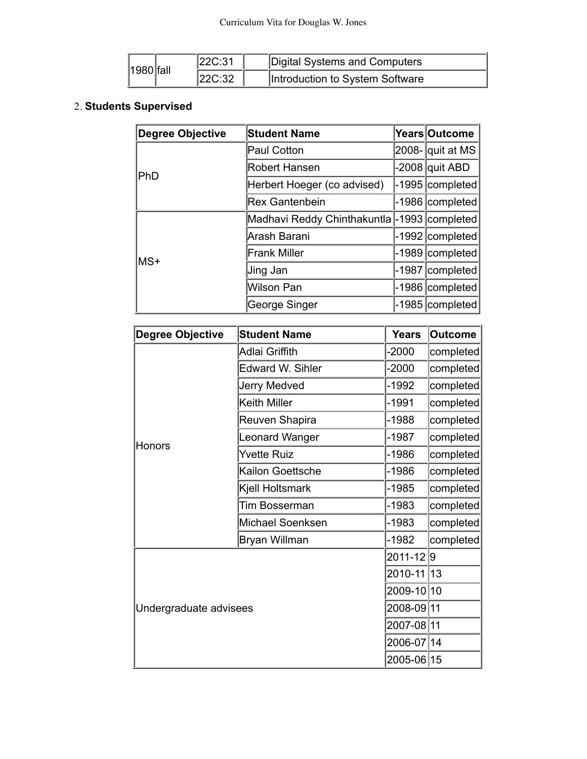|               | 22C:31 | Digital Systems and Computers   |
|---------------|--------|---------------------------------|
| $ 1980 $ fall | 22C:32 | Introduction to System Software |

#### **Students Supervised** 2.

| Degree Objective | <b>Student Name</b>                          |         | Years Outcome    |
|------------------|----------------------------------------------|---------|------------------|
|                  | Paul Cotton                                  |         | 2008- quit at MS |
| IPhD             | <b>Robert Hansen</b>                         |         | -2008 quit ABD   |
|                  | Herbert Hoeger (co advised)                  | -1995   | completed        |
|                  | <b>Rex Gantenbein</b>                        | $-1986$ | completed        |
|                  | Madhavi Reddy Chinthakuntla - 1993 completed |         |                  |
|                  | Arash Barani                                 |         | -1992 completed  |
| lMS+             | <b>Frank Miller</b>                          | -1989   | completed        |
|                  | Jing Jan                                     | -1987   | completed        |
|                  | <b>Wilson Pan</b>                            | -1986   | completed        |
|                  | George Singer                                | $-1985$ | completed        |

| <b>Degree Objective</b> | <b>Student Name</b> | <b>Years</b> | <b>Outcome</b> |
|-------------------------|---------------------|--------------|----------------|
|                         | Adlai Griffith      | $-2000$      | completed      |
|                         | Edward W. Sihler    | $-2000$      | completed      |
|                         | Jerry Medved        | -1992        | completed      |
|                         | <b>Keith Miller</b> | -1991        | completed      |
|                         | Reuven Shapira      | $-1988$      | completed      |
|                         | Leonard Wanger      | -1987        | completed      |
| Honors                  | <b>Yvette Ruiz</b>  | $-1986$      | completed      |
|                         | Kailon Goettsche    | -1986        | completed      |
|                         | Kjell Holtsmark     | -1985        | completed      |
|                         | Tim Bosserman       | -1983        | completed      |
|                         | Michael Soenksen    | $-1983$      | completed      |
|                         | Bryan Willman       | -1982        | completed      |
|                         | 2011-129            |              |                |
|                         | 2010-11             | 13           |                |
|                         | 2009-10 10          |              |                |
| Undergraduate advisees  |                     |              | 2008-09 11     |
|                         |                     |              | 2007-08 11     |
|                         |                     | 2006-07 14   |                |
|                         |                     | 2005-06 15   |                |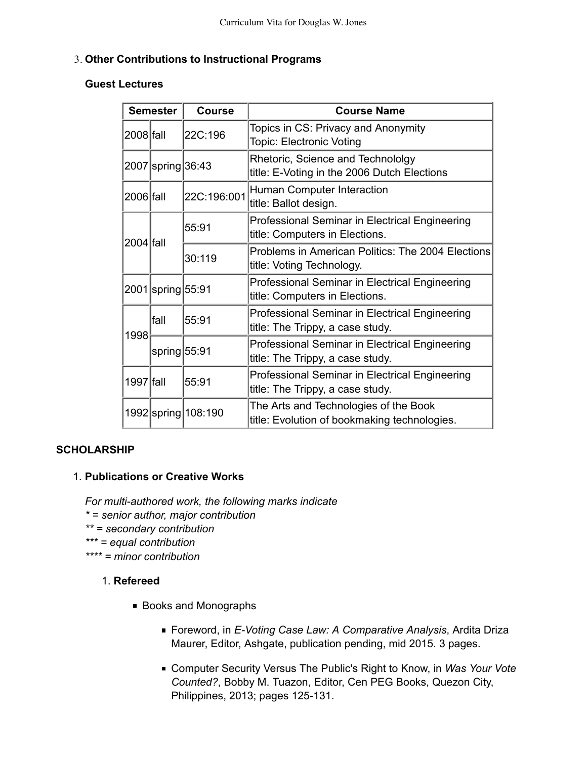### **Other Contributions to Instructional Programs** 3.

#### **Guest Lectures**

| <b>Semester</b> |                                            | <b>Course</b>         | <b>Course Name</b>                                                                    |
|-----------------|--------------------------------------------|-----------------------|---------------------------------------------------------------------------------------|
| 2008 fall       |                                            | 22C:196               | Topics in CS: Privacy and Anonymity<br><b>Topic: Electronic Voting</b>                |
|                 | 2007 spring 36:43                          |                       | Rhetoric, Science and Technololgy<br>title: E-Voting in the 2006 Dutch Elections      |
| 2006 fall       |                                            | 22C:196:001           | Human Computer Interaction<br>title: Ballot design.                                   |
| 2004 Ifall      |                                            | 55:91                 | Professional Seminar in Electrical Engineering<br>title: Computers in Elections.      |
|                 |                                            | 30:119                | Problems in American Politics: The 2004 Elections<br>title: Voting Technology.        |
|                 | 2001 spring 55:91                          |                       | Professional Seminar in Electrical Engineering<br>title: Computers in Elections.      |
| 1998            | lfall                                      | 55:91                 | Professional Seminar in Electrical Engineering<br>title: The Trippy, a case study.    |
|                 | $\left $ spring $\left 55:91\right\rangle$ |                       | Professional Seminar in Electrical Engineering<br>title: The Trippy, a case study.    |
| 1997 fall       |                                            | 55:91                 | Professional Seminar in Electrical Engineering<br>title: The Trippy, a case study.    |
|                 |                                            | 1992 spring   108:190 | The Arts and Technologies of the Book<br>title: Evolution of bookmaking technologies. |

## **SCHOLARSHIP**

## **Publications or Creative Works** 1.

*For multi-authored work, the following marks indicate \* = senior author, major contribution*

- *\*\* = secondary contribution*
- *\*\*\* = equal contribution*
- *\*\*\*\* = minor contribution*

## 1. Refereed

- Books and Monographs
	- Foreword, in *E-Voting Case Law: A Comparative Analysis*, Ardita Driza Maurer, Editor, Ashgate, publication pending, mid 2015. 3 pages.
	- Computer Security Versus The Public's Right to Know, in *Was Your Vote Counted?*, Bobby M. Tuazon, Editor, Cen PEG Books, Quezon City, Philippines, 2013; pages 125-131.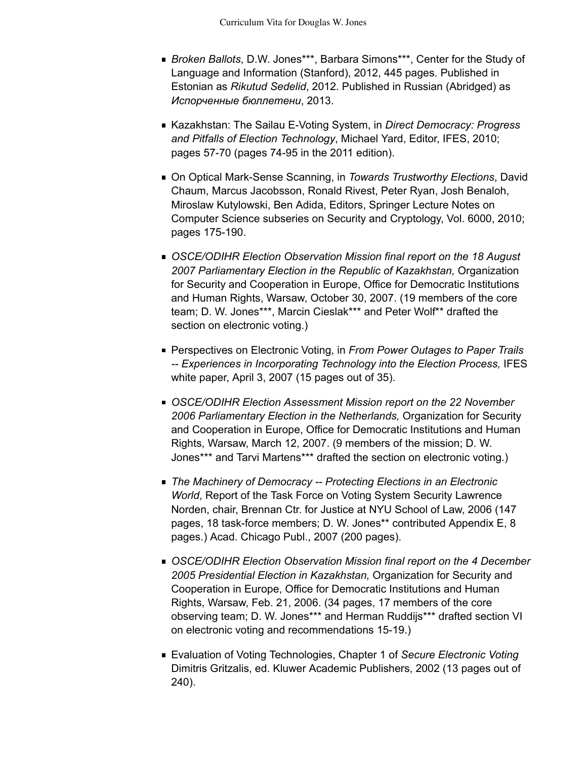- *Broken Ballots*, D.W. Jones\*\*\*, Barbara Simons\*\*\*, Center for the Study of Language and Information (Stanford), 2012, 445 pages. Published in Estonian as *Rikutud Sedelid*, 2012. Published in Russian (Abridged) as  $$
- Kazakhstan: The Sailau E-Voting System, in *Direct Democracy: Progress and Pitfalls of Election Technology*, Michael Yard, Editor, IFES, 2010; pages 57-70 (pages 74-95 in the 2011 edition).
- On Optical Mark-Sense Scanning, in *Towards Trustworthy Elections*, David Chaum, Marcus Jacobsson, Ronald Rivest, Peter Ryan, Josh Benaloh, Miroslaw Kutylowski, Ben Adida, Editors, Springer Lecture Notes on Computer Science subseries on Security and Cryptology, Vol. 6000, 2010; pages 175-190.
- *OSCE/ODIHR Election Observation Mission final report on the 18 August 2007 Parliamentary Election in the Republic of Kazakhstan,* Organization for Security and Cooperation in Europe, Office for Democratic Institutions and Human Rights, Warsaw, October 30, 2007. (19 members of the core team; D. W. Jones\*\*\*, Marcin Cieslak\*\*\* and Peter Wolf\*\* drafted the section on electronic voting.)
- Perspectives on Electronic Voting, in *From Power Outages to Paper Trails -- Experiences in Incorporating Technology into the Election Process,* IFES white paper, April 3, 2007 (15 pages out of 35).
- *OSCE/ODIHR Election Assessment Mission report on the 22 November 2006 Parliamentary Election in the Netherlands,* Organization for Security and Cooperation in Europe, Office for Democratic Institutions and Human Rights, Warsaw, March 12, 2007. (9 members of the mission; D. W. Jones\*\*\* and Tarvi Martens\*\*\* drafted the section on electronic voting.)
- *The Machinery of Democracy -- Protecting Elections in an Electronic World*, Report of the Task Force on Voting System Security Lawrence Norden, chair, Brennan Ctr. for Justice at NYU School of Law, 2006 (147 pages, 18 task-force members; D. W. Jones\*\* contributed Appendix E, 8 pages.) Acad. Chicago Publ., 2007 (200 pages).
- *OSCE/ODIHR Election Observation Mission final report on the 4 December 2005 Presidential Election in Kazakhstan,* Organization for Security and Cooperation in Europe, Office for Democratic Institutions and Human Rights, Warsaw, Feb. 21, 2006. (34 pages, 17 members of the core observing team; D. W. Jones\*\*\* and Herman Ruddijs\*\*\* drafted section VI on electronic voting and recommendations 15-19.)
- Evaluation of Voting Technologies, Chapter 1 of *Secure Electronic Voting* Dimitris Gritzalis, ed. Kluwer Academic Publishers, 2002 (13 pages out of 240).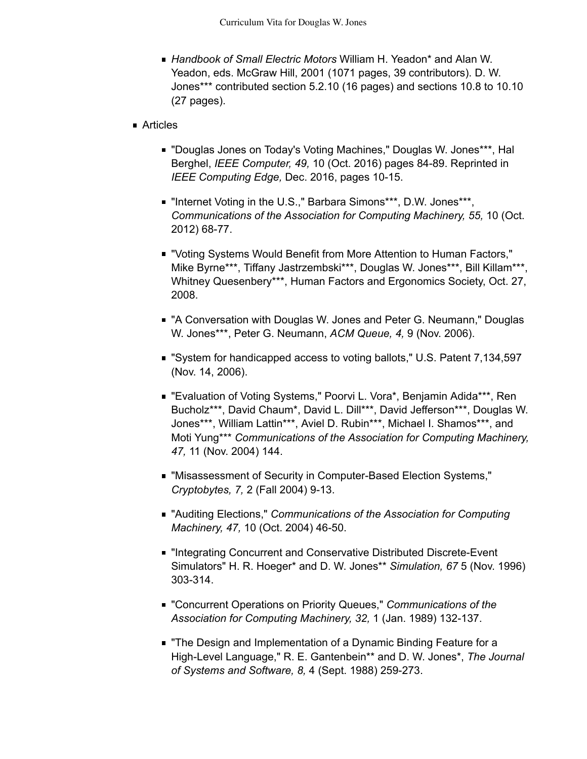*Handbook of Small Electric Motors* William H. Yeadon\* and Alan W. Yeadon, eds. McGraw Hill, 2001 (1071 pages, 39 contributors). D. W. Jones\*\*\* contributed section 5.2.10 (16 pages) and sections 10.8 to 10.10 (27 pages).

#### ■ Articles

- "Douglas Jones on Today's Voting Machines," Douglas W. Jones\*\*\*, Hal Berghel, *IEEE Computer, 49,* 10 (Oct. 2016) pages 84-89. Reprinted in *IEEE Computing Edge,* Dec. 2016, pages 10-15.
- "Internet Voting in the U.S.," Barbara Simons\*\*\*, D.W. Jones\*\*\*, *Communications of the Association for Computing Machinery, 55,* 10 (Oct. 2012) 68-77.
- "Voting Systems Would Benefit from More Attention to Human Factors," Mike Byrne\*\*\*, Tiffany Jastrzembski\*\*\*, Douglas W. Jones\*\*\*, Bill Killam\*\*\*, Whitney Quesenbery\*\*\*, Human Factors and Ergonomics Society, Oct. 27, 2008.
- "A Conversation with Douglas W. Jones and Peter G. Neumann," Douglas W. Jones\*\*\*, Peter G. Neumann, *ACM Queue, 4,* 9 (Nov. 2006).
- "System for handicapped access to voting ballots," U.S. Patent 7,134,597 (Nov. 14, 2006).
- "Evaluation of Voting Systems," Poorvi L. Vora\*, Benjamin Adida\*\*\*, Ren Bucholz\*\*\*, David Chaum\*, David L. Dill\*\*\*, David Jefferson\*\*\*, Douglas W. Jones\*\*\*, William Lattin\*\*\*, Aviel D. Rubin\*\*\*, Michael I. Shamos\*\*\*, and Moti Yung\*\*\* *Communications of the Association for Computing Machinery, 47,* 11 (Nov. 2004) 144.
- "Misassessment of Security in Computer-Based Election Systems," *Cryptobytes, 7,* 2 (Fall 2004) 9-13.
- "Auditing Elections," *Communications of the Association for Computing Machinery, 47,* 10 (Oct. 2004) 46-50.
- "Integrating Concurrent and Conservative Distributed Discrete-Event Simulators" H. R. Hoeger\* and D. W. Jones\*\* *Simulation, 67* 5 (Nov. 1996) 303-314.
- "Concurrent Operations on Priority Queues," *Communications of the Association for Computing Machinery, 32,* 1 (Jan. 1989) 132-137.
- **The Design and Implementation of a Dynamic Binding Feature for a** High-Level Language," R. E. Gantenbein\*\* and D. W. Jones\*, *The Journal of Systems and Software, 8,* 4 (Sept. 1988) 259-273.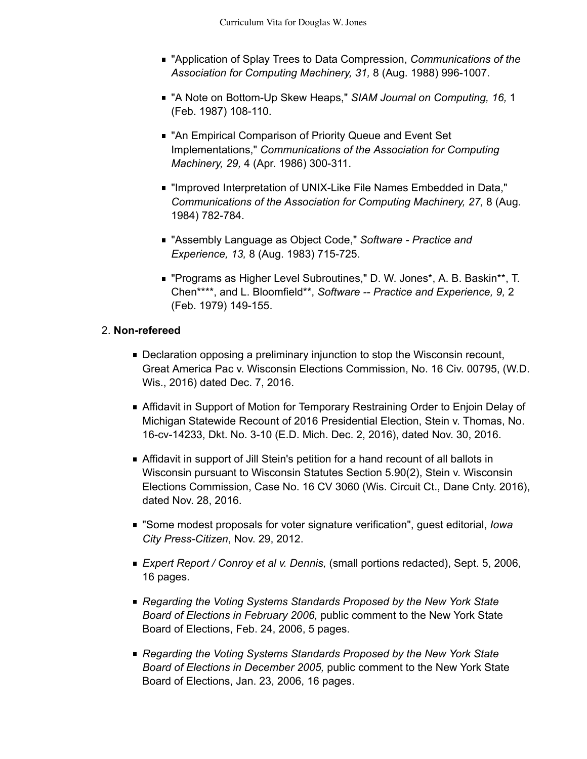- "Application of Splay Trees to Data Compression, *Communications of the Association for Computing Machinery, 31,* 8 (Aug. 1988) 996-1007.
- "A Note on Bottom-Up Skew Heaps," *SIAM Journal on Computing, 16,* 1 (Feb. 1987) 108-110.
- "An Empirical Comparison of Priority Queue and Event Set Implementations," *Communications of the Association for Computing Machinery, 29,* 4 (Apr. 1986) 300-311.
- "Improved Interpretation of UNIX-Like File Names Embedded in Data," *Communications of the Association for Computing Machinery, 27,* 8 (Aug. 1984) 782-784.
- "Assembly Language as Object Code," *Software Practice and Experience, 13,* 8 (Aug. 1983) 715-725.
- "Programs as Higher Level Subroutines," D. W. Jones\*, A. B. Baskin\*\*, T. Chen\*\*\*\*, and L. Bloomfield\*\*, *Software -- Practice and Experience, 9,* 2 (Feb. 1979) 149-155.

### **Non-refereed** 2.

- **Declaration opposing a preliminary injunction to stop the Wisconsin recount,** Great America Pac v. Wisconsin Elections Commission, No. 16 Civ. 00795, (W.D. Wis., 2016) dated Dec. 7, 2016.
- Affidavit in Support of Motion for Temporary Restraining Order to Enjoin Delay of Michigan Statewide Recount of 2016 Presidential Election, Stein v. Thomas, No. 16-cv-14233, Dkt. No. 3-10 (E.D. Mich. Dec. 2, 2016), dated Nov. 30, 2016.
- Affidavit in support of Jill Stein's petition for a hand recount of all ballots in Wisconsin pursuant to Wisconsin Statutes Section 5.90(2), Stein v. Wisconsin Elections Commission, Case No. 16 CV 3060 (Wis. Circuit Ct., Dane Cnty. 2016), dated Nov. 28, 2016.
- "Some modest proposals for voter signature verification", guest editorial, *Iowa City Press-Citizen*, Nov. 29, 2012.
- *Expert Report / Conroy et al v. Dennis,* (small portions redacted), Sept. 5, 2006, 16 pages.
- *Regarding the Voting Systems Standards Proposed by the New York State Board of Elections in February 2006,* public comment to the New York State Board of Elections, Feb. 24, 2006, 5 pages.
- *Regarding the Voting Systems Standards Proposed by the New York State Board of Elections in December 2005,* public comment to the New York State Board of Elections, Jan. 23, 2006, 16 pages.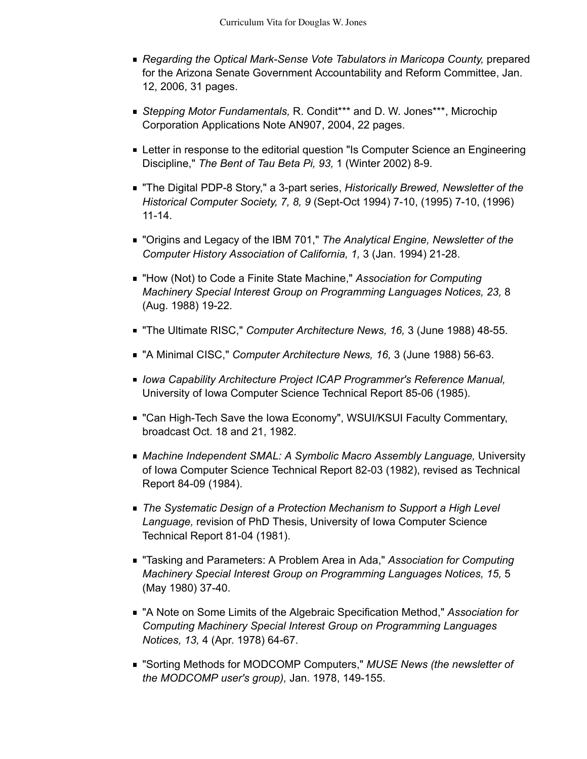- *Regarding the Optical Mark-Sense Vote Tabulators in Maricopa County,* prepared for the Arizona Senate Government Accountability and Reform Committee, Jan. 12, 2006, 31 pages.
- *Stepping Motor Fundamentals,* R. Condit\*\*\* and D. W. Jones\*\*\*, Microchip Corporation Applications Note AN907, 2004, 22 pages.
- **Letter in response to the editorial question "Is Computer Science an Engineering** Discipline," *The Bent of Tau Beta Pi, 93,* 1 (Winter 2002) 8-9.
- "The Digital PDP-8 Story," a 3-part series, *Historically Brewed, Newsletter of the Historical Computer Society, 7, 8, 9* (Sept-Oct 1994) 7-10, (1995) 7-10, (1996) 11-14.
- "Origins and Legacy of the IBM 701," *The Analytical Engine, Newsletter of the Computer History Association of California, 1,* 3 (Jan. 1994) 21-28.
- "How (Not) to Code a Finite State Machine," *Association for Computing Machinery Special Interest Group on Programming Languages Notices, 23,* 8 (Aug. 1988) 19-22.
- "The Ultimate RISC," *Computer Architecture News, 16,* 3 (June 1988) 48-55.
- "A Minimal CISC," *Computer Architecture News, 16,* 3 (June 1988) 56-63.
- *Iowa Capability Architecture Project ICAP Programmer's Reference Manual,* University of Iowa Computer Science Technical Report 85-06 (1985).
- "Can High-Tech Save the Iowa Economy", WSUI/KSUI Faculty Commentary, broadcast Oct. 18 and 21, 1982.
- *Machine Independent SMAL: A Symbolic Macro Assembly Language,* University of Iowa Computer Science Technical Report 82-03 (1982), revised as Technical Report 84-09 (1984).
- *The Systematic Design of a Protection Mechanism to Support a High Level Language,* revision of PhD Thesis, University of Iowa Computer Science Technical Report 81-04 (1981).
- "Tasking and Parameters: A Problem Area in Ada," *Association for Computing Machinery Special Interest Group on Programming Languages Notices, 15,* 5 (May 1980) 37-40.
- "A Note on Some Limits of the Algebraic Specification Method," *Association for Computing Machinery Special Interest Group on Programming Languages Notices, 13,* 4 (Apr. 1978) 64-67.
- "Sorting Methods for MODCOMP Computers," *MUSE News (the newsletter of the MODCOMP user's group),* Jan. 1978, 149-155.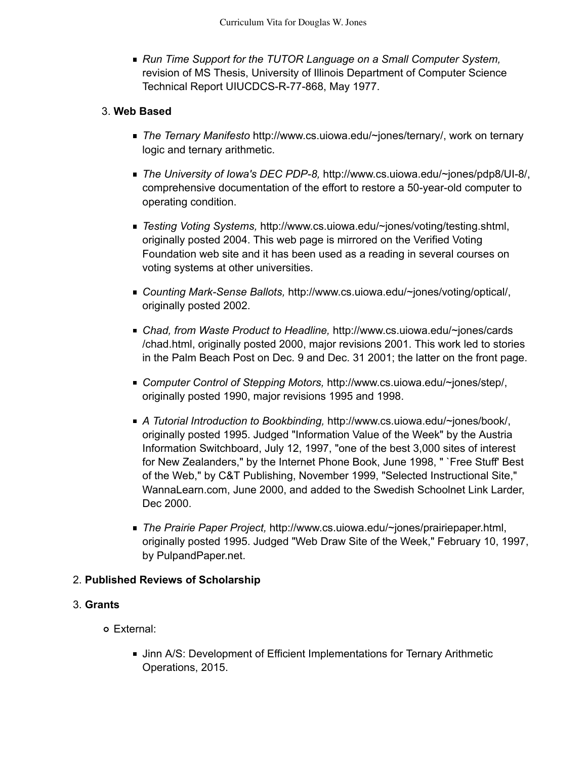*Run Time Support for the TUTOR Language on a Small Computer System,* revision of MS Thesis, University of Illinois Department of Computer Science Technical Report UIUCDCS-R-77-868, May 1977.

### **Web Based** 3.

- *The Ternary Manifesto* http://www.cs.uiowa.edu/~jones/ternary/, work on ternary logic and ternary arithmetic.
- *The University of Iowa's DEC PDP-8,* http://www.cs.uiowa.edu/~jones/pdp8/UI-8/, comprehensive documentation of the effort to restore a 50-year-old computer to operating condition.
- *Testing Voting Systems,* http://www.cs.uiowa.edu/~jones/voting/testing.shtml, originally posted 2004. This web page is mirrored on the Verified Voting Foundation web site and it has been used as a reading in several courses on voting systems at other universities.
- *Counting Mark-Sense Ballots,* http://www.cs.uiowa.edu/~jones/voting/optical/, originally posted 2002.
- *Chad, from Waste Product to Headline,* http://www.cs.uiowa.edu/~jones/cards /chad.html, originally posted 2000, major revisions 2001. This work led to stories in the Palm Beach Post on Dec. 9 and Dec. 31 2001; the latter on the front page.
- *Computer Control of Stepping Motors,* http://www.cs.uiowa.edu/~jones/step/, originally posted 1990, major revisions 1995 and 1998.
- *A Tutorial Introduction to Bookbinding,* http://www.cs.uiowa.edu/~jones/book/, originally posted 1995. Judged "Information Value of the Week" by the Austria Information Switchboard, July 12, 1997, "one of the best 3,000 sites of interest for New Zealanders," by the Internet Phone Book, June 1998, " `Free Stuff' Best of the Web," by C&T Publishing, November 1999, "Selected Instructional Site," WannaLearn.com, June 2000, and added to the Swedish Schoolnet Link Larder, Dec 2000.
- *The Prairie Paper Project,* http://www.cs.uiowa.edu/~jones/prairiepaper.html, originally posted 1995. Judged "Web Draw Site of the Week," February 10, 1997, by PulpandPaper.net.

## 2. **Published Reviews of Scholarship**

#### **Grants** 3.

- External:
	- **Jinn A/S: Development of Efficient Implementations for Ternary Arithmetic** Operations, 2015.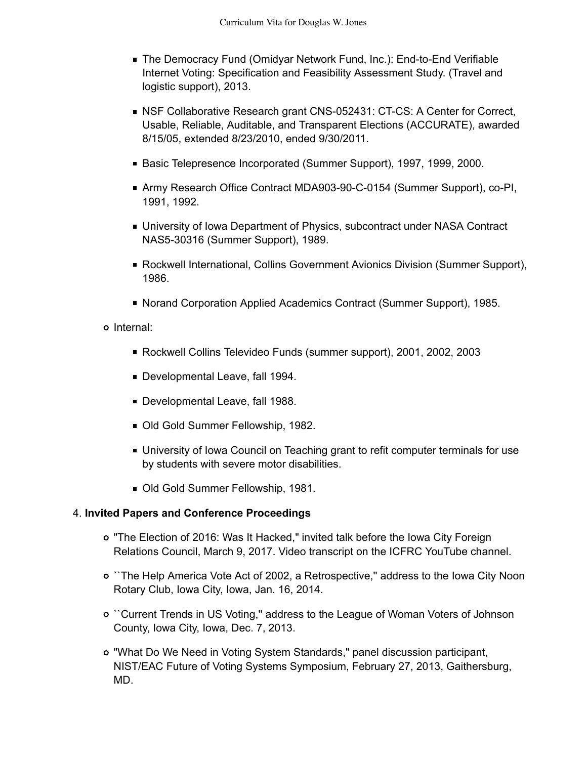- The Democracy Fund (Omidyar Network Fund, Inc.): End-to-End Verifiable Internet Voting: Specification and Feasibility Assessment Study. (Travel and logistic support), 2013.
- NSF Collaborative Research grant CNS-052431: CT-CS: A Center for Correct, Usable, Reliable, Auditable, and Transparent Elections (ACCURATE), awarded 8/15/05, extended 8/23/2010, ended 9/30/2011.
- Basic Telepresence Incorporated (Summer Support), 1997, 1999, 2000.
- Army Research Office Contract MDA903-90-C-0154 (Summer Support), co-PI, 1991, 1992.
- University of Iowa Department of Physics, subcontract under NASA Contract NAS5-30316 (Summer Support), 1989.
- Rockwell International, Collins Government Avionics Division (Summer Support), 1986.
- Norand Corporation Applied Academics Contract (Summer Support), 1985.
- o Internal:
	- Rockwell Collins Televideo Funds (summer support), 2001, 2002, 2003
	- Developmental Leave, fall 1994.
	- Developmental Leave, fall 1988.
	- Old Gold Summer Fellowship, 1982.
	- **University of Iowa Council on Teaching grant to refit computer terminals for use** by students with severe motor disabilities.
	- Old Gold Summer Fellowship, 1981.

#### **Invited Papers and Conference Proceedings** 4.

- "The Election of 2016: Was It Hacked," invited talk before the Iowa City Foreign Relations Council, March 9, 2017. Video transcript on the ICFRC YouTube channel.
- ``The Help America Vote Act of 2002, a Retrospective,'' address to the Iowa City Noon Rotary Club, Iowa City, Iowa, Jan. 16, 2014.
- ``Current Trends in US Voting,'' address to the League of Woman Voters of Johnson County, Iowa City, Iowa, Dec. 7, 2013.
- "What Do We Need in Voting System Standards," panel discussion participant, NIST/EAC Future of Voting Systems Symposium, February 27, 2013, Gaithersburg, MD.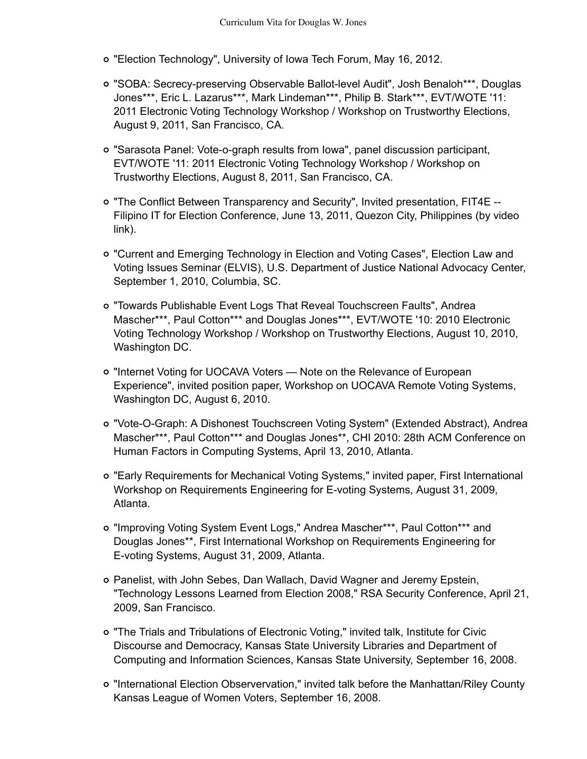- "Election Technology", University of Iowa Tech Forum, May 16, 2012.
- "SOBA: Secrecy-preserving Observable Ballot-level Audit", Josh Benaloh\*\*\*, Douglas Jones\*\*\*, Eric L. Lazarus\*\*\*, Mark Lindeman\*\*\*, Philip B. Stark\*\*\*, EVT/WOTE '11: 2011 Electronic Voting Technology Workshop / Workshop on Trustworthy Elections, August 9, 2011, San Francisco, CA.
- "Sarasota Panel: Vote-o-graph results from Iowa", panel discussion participant, EVT/WOTE '11: 2011 Electronic Voting Technology Workshop / Workshop on Trustworthy Elections, August 8, 2011, San Francisco, CA.
- "The Conflict Between Transparency and Security", Invited presentation, FIT4E -- Filipino IT for Election Conference, June 13, 2011, Quezon City, Philippines (by video link).
- "Current and Emerging Technology in Election and Voting Cases", Election Law and Voting Issues Seminar (ELVIS), U.S. Department of Justice National Advocacy Center, September 1, 2010, Columbia, SC.
- "Towards Publishable Event Logs That Reveal Touchscreen Faults", Andrea Mascher\*\*\*, Paul Cotton\*\*\* and Douglas Jones\*\*\*, EVT/WOTE '10: 2010 Electronic Voting Technology Workshop / Workshop on Trustworthy Elections, August 10, 2010, Washington DC.
- "Internet Voting for UOCAVA Voters Note on the Relevance of European Experience", invited position paper, Workshop on UOCAVA Remote Voting Systems, Washington DC, August 6, 2010.
- "Vote-O-Graph: A Dishonest Touchscreen Voting System" (Extended Abstract), Andrea Mascher\*\*\*, Paul Cotton\*\*\* and Douglas Jones\*\*, CHI 2010: 28th ACM Conference on Human Factors in Computing Systems, April 13, 2010, Atlanta.
- "Early Requirements for Mechanical Voting Systems," invited paper, First International Workshop on Requirements Engineering for E-voting Systems, August 31, 2009, Atlanta.
- "Improving Voting System Event Logs," Andrea Mascher\*\*\*, Paul Cotton\*\*\* and Douglas Jones\*\*, First International Workshop on Requirements Engineering for E-voting Systems, August 31, 2009, Atlanta.
- Panelist, with John Sebes, Dan Wallach, David Wagner and Jeremy Epstein, "Technology Lessons Learned from Election 2008," RSA Security Conference, April 21, 2009, San Francisco.
- "The Trials and Tribulations of Electronic Voting," invited talk, Institute for Civic Discourse and Democracy, Kansas State University Libraries and Department of Computing and Information Sciences, Kansas State University, September 16, 2008.
- "International Election Observervation," invited talk before the Manhattan/Riley County Kansas League of Women Voters, September 16, 2008.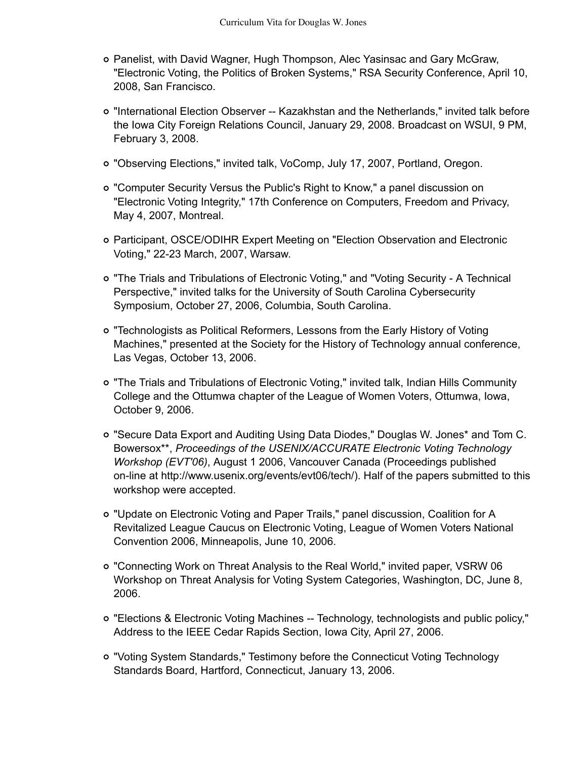- Panelist, with David Wagner, Hugh Thompson, Alec Yasinsac and Gary McGraw, "Electronic Voting, the Politics of Broken Systems," RSA Security Conference, April 10, 2008, San Francisco.
- "International Election Observer -- Kazakhstan and the Netherlands," invited talk before the Iowa City Foreign Relations Council, January 29, 2008. Broadcast on WSUI, 9 PM, February 3, 2008.
- "Observing Elections," invited talk, VoComp, July 17, 2007, Portland, Oregon.
- "Computer Security Versus the Public's Right to Know," a panel discussion on "Electronic Voting Integrity," 17th Conference on Computers, Freedom and Privacy, May 4, 2007, Montreal.
- Participant, OSCE/ODIHR Expert Meeting on "Election Observation and Electronic Voting," 22-23 March, 2007, Warsaw.
- "The Trials and Tribulations of Electronic Voting," and "Voting Security A Technical Perspective," invited talks for the University of South Carolina Cybersecurity Symposium, October 27, 2006, Columbia, South Carolina.
- "Technologists as Political Reformers, Lessons from the Early History of Voting Machines," presented at the Society for the History of Technology annual conference, Las Vegas, October 13, 2006.
- "The Trials and Tribulations of Electronic Voting," invited talk, Indian Hills Community College and the Ottumwa chapter of the League of Women Voters, Ottumwa, Iowa, October 9, 2006.
- "Secure Data Export and Auditing Using Data Diodes," Douglas W. Jones\* and Tom C. Bowersox\*\*, *Proceedings of the USENIX/ACCURATE Electronic Voting Technology Workshop (EVT'06)*, August 1 2006, Vancouver Canada (Proceedings published on-line at http://www.usenix.org/events/evt06/tech/). Half of the papers submitted to this workshop were accepted.
- "Update on Electronic Voting and Paper Trails," panel discussion, Coalition for A Revitalized League Caucus on Electronic Voting, League of Women Voters National Convention 2006, Minneapolis, June 10, 2006.
- "Connecting Work on Threat Analysis to the Real World," invited paper, VSRW 06 Workshop on Threat Analysis for Voting System Categories, Washington, DC, June 8, 2006.
- "Elections & Electronic Voting Machines -- Technology, technologists and public policy," Address to the IEEE Cedar Rapids Section, Iowa City, April 27, 2006.
- "Voting System Standards," Testimony before the Connecticut Voting Technology Standards Board, Hartford, Connecticut, January 13, 2006.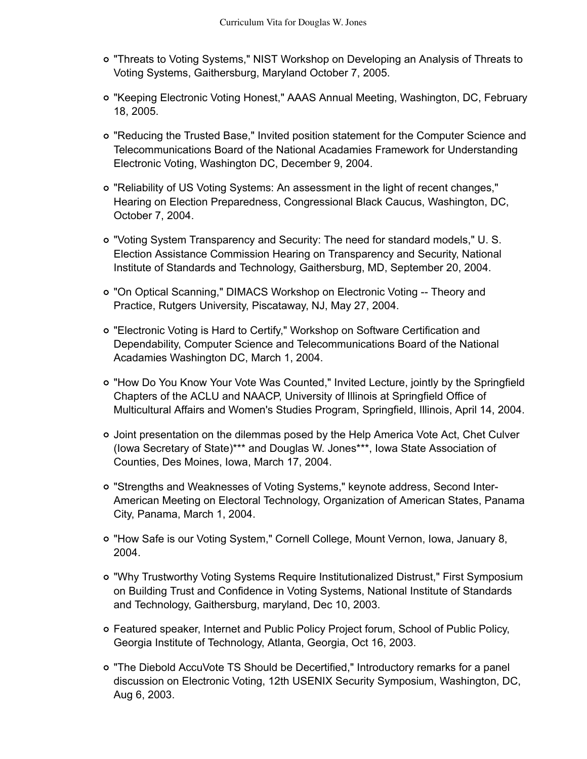- "Threats to Voting Systems," NIST Workshop on Developing an Analysis of Threats to Voting Systems, Gaithersburg, Maryland October 7, 2005.
- "Keeping Electronic Voting Honest," AAAS Annual Meeting, Washington, DC, February 18, 2005.
- "Reducing the Trusted Base," Invited position statement for the Computer Science and Telecommunications Board of the National Acadamies Framework for Understanding Electronic Voting, Washington DC, December 9, 2004.
- "Reliability of US Voting Systems: An assessment in the light of recent changes," Hearing on Election Preparedness, Congressional Black Caucus, Washington, DC, October 7, 2004.
- "Voting System Transparency and Security: The need for standard models," U. S. Election Assistance Commission Hearing on Transparency and Security, National Institute of Standards and Technology, Gaithersburg, MD, September 20, 2004.
- "On Optical Scanning," DIMACS Workshop on Electronic Voting -- Theory and Practice, Rutgers University, Piscataway, NJ, May 27, 2004.
- "Electronic Voting is Hard to Certify," Workshop on Software Certification and Dependability, Computer Science and Telecommunications Board of the National Acadamies Washington DC, March 1, 2004.
- "How Do You Know Your Vote Was Counted," Invited Lecture, jointly by the Springfield Chapters of the ACLU and NAACP, University of Illinois at Springfield Office of Multicultural Affairs and Women's Studies Program, Springfield, Illinois, April 14, 2004.
- Joint presentation on the dilemmas posed by the Help America Vote Act, Chet Culver (Iowa Secretary of State)\*\*\* and Douglas W. Jones\*\*\*, Iowa State Association of Counties, Des Moines, Iowa, March 17, 2004.
- "Strengths and Weaknesses of Voting Systems," keynote address, Second Inter-American Meeting on Electoral Technology, Organization of American States, Panama City, Panama, March 1, 2004.
- "How Safe is our Voting System," Cornell College, Mount Vernon, Iowa, January 8, 2004.
- "Why Trustworthy Voting Systems Require Institutionalized Distrust," First Symposium on Building Trust and Confidence in Voting Systems, National Institute of Standards and Technology, Gaithersburg, maryland, Dec 10, 2003.
- Featured speaker, Internet and Public Policy Project forum, School of Public Policy, Georgia Institute of Technology, Atlanta, Georgia, Oct 16, 2003.
- "The Diebold AccuVote TS Should be Decertified," Introductory remarks for a panel discussion on Electronic Voting, 12th USENIX Security Symposium, Washington, DC, Aug 6, 2003.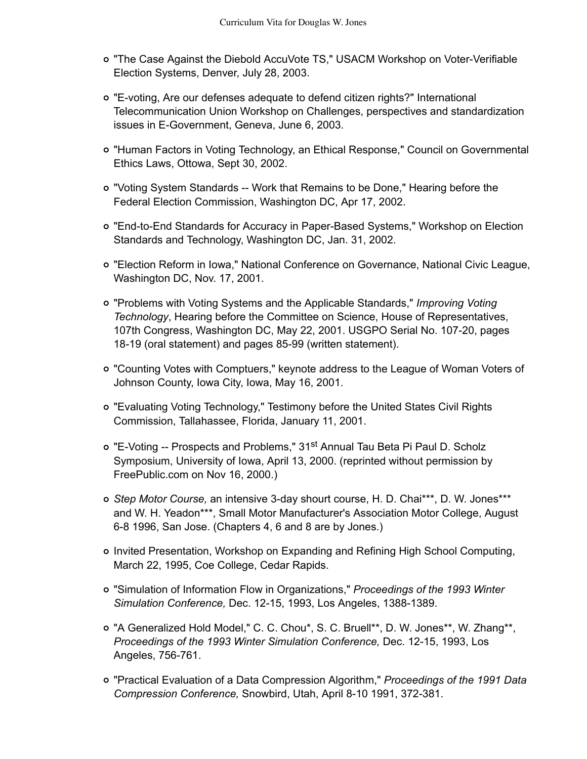- "The Case Against the Diebold AccuVote TS," USACM Workshop on Voter-Verifiable Election Systems, Denver, July 28, 2003.
- "E-voting, Are our defenses adequate to defend citizen rights?" International Telecommunication Union Workshop on Challenges, perspectives and standardization issues in E-Government, Geneva, June 6, 2003.
- "Human Factors in Voting Technology, an Ethical Response," Council on Governmental Ethics Laws, Ottowa, Sept 30, 2002.
- "Voting System Standards -- Work that Remains to be Done," Hearing before the Federal Election Commission, Washington DC, Apr 17, 2002.
- "End-to-End Standards for Accuracy in Paper-Based Systems," Workshop on Election Standards and Technology, Washington DC, Jan. 31, 2002.
- "Election Reform in Iowa," National Conference on Governance, National Civic League, Washington DC, Nov. 17, 2001.
- "Problems with Voting Systems and the Applicable Standards," *Improving Voting Technology*, Hearing before the Committee on Science, House of Representatives, 107th Congress, Washington DC, May 22, 2001. USGPO Serial No. 107-20, pages 18-19 (oral statement) and pages 85-99 (written statement).
- "Counting Votes with Comptuers," keynote address to the League of Woman Voters of Johnson County, Iowa City, Iowa, May 16, 2001.
- "Evaluating Voting Technology," Testimony before the United States Civil Rights Commission, Tallahassee, Florida, January 11, 2001.
- o "E-Voting -- Prospects and Problems," 31<sup>st</sup> Annual Tau Beta Pi Paul D. Scholz Symposium, University of Iowa, April 13, 2000. (reprinted without permission by FreePublic.com on Nov 16, 2000.)
- *Step Motor Course,* an intensive 3-day shourt course, H. D. Chai\*\*\*, D. W. Jones\*\*\* and W. H. Yeadon\*\*\*, Small Motor Manufacturer's Association Motor College, August 6-8 1996, San Jose. (Chapters 4, 6 and 8 are by Jones.)
- Invited Presentation, Workshop on Expanding and Refining High School Computing, March 22, 1995, Coe College, Cedar Rapids.
- "Simulation of Information Flow in Organizations," *Proceedings of the 1993 Winter Simulation Conference,* Dec. 12-15, 1993, Los Angeles, 1388-1389.
- "A Generalized Hold Model," C. C. Chou\*, S. C. Bruell\*\*, D. W. Jones\*\*, W. Zhang\*\*, *Proceedings of the 1993 Winter Simulation Conference,* Dec. 12-15, 1993, Los Angeles, 756-761.
- "Practical Evaluation of a Data Compression Algorithm," *Proceedings of the 1991 Data Compression Conference,* Snowbird, Utah, April 8-10 1991, 372-381.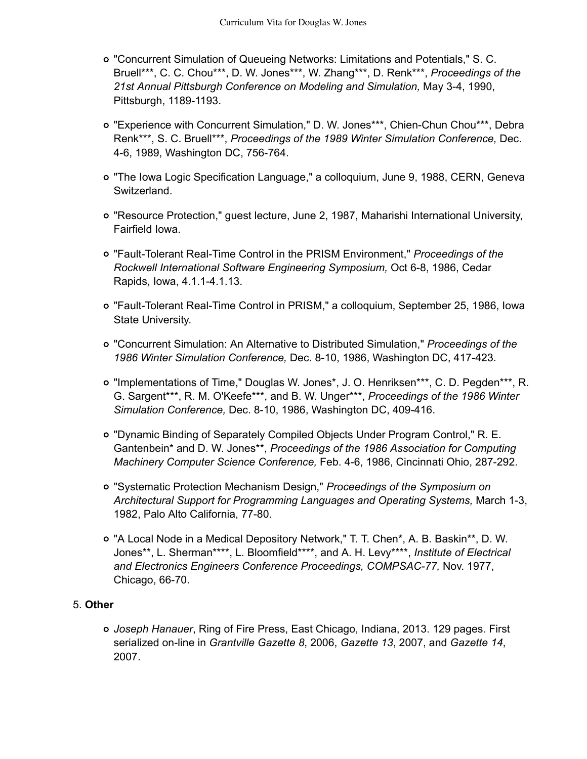- "Concurrent Simulation of Queueing Networks: Limitations and Potentials," S. C. Bruell\*\*\*, C. C. Chou\*\*\*, D. W. Jones\*\*\*, W. Zhang\*\*\*, D. Renk\*\*\*, *Proceedings of the 21st Annual Pittsburgh Conference on Modeling and Simulation,* May 3-4, 1990, Pittsburgh, 1189-1193.
- "Experience with Concurrent Simulation," D. W. Jones\*\*\*, Chien-Chun Chou\*\*\*, Debra Renk\*\*\*, S. C. Bruell\*\*\*, *Proceedings of the 1989 Winter Simulation Conference,* Dec. 4-6, 1989, Washington DC, 756-764.
- "The Iowa Logic Specification Language," a colloquium, June 9, 1988, CERN, Geneva Switzerland.
- "Resource Protection," guest lecture, June 2, 1987, Maharishi International University, Fairfield Iowa.
- "Fault-Tolerant Real-Time Control in the PRISM Environment," *Proceedings of the Rockwell International Software Engineering Symposium,* Oct 6-8, 1986, Cedar Rapids, Iowa, 4.1.1-4.1.13.
- "Fault-Tolerant Real-Time Control in PRISM," a colloquium, September 25, 1986, Iowa State University.
- "Concurrent Simulation: An Alternative to Distributed Simulation," *Proceedings of the 1986 Winter Simulation Conference,* Dec. 8-10, 1986, Washington DC, 417-423.
- "Implementations of Time," Douglas W. Jones\*, J. O. Henriksen\*\*\*, C. D. Pegden\*\*\*, R. G. Sargent\*\*\*, R. M. O'Keefe\*\*\*, and B. W. Unger\*\*\*, *Proceedings of the 1986 Winter Simulation Conference,* Dec. 8-10, 1986, Washington DC, 409-416.
- "Dynamic Binding of Separately Compiled Objects Under Program Control," R. E. Gantenbein\* and D. W. Jones\*\*, *Proceedings of the 1986 Association for Computing Machinery Computer Science Conference,* Feb. 4-6, 1986, Cincinnati Ohio, 287-292.
- "Systematic Protection Mechanism Design," *Proceedings of the Symposium on Architectural Support for Programming Languages and Operating Systems,* March 1-3, 1982, Palo Alto California, 77-80.
- "A Local Node in a Medical Depository Network," T. T. Chen\*, A. B. Baskin\*\*, D. W. Jones\*\*, L. Sherman\*\*\*\*, L. Bloomfield\*\*\*\*, and A. H. Levy\*\*\*\*, *Institute of Electrical and Electronics Engineers Conference Proceedings, COMPSAC-77,* Nov. 1977, Chicago, 66-70.

## **Other** 5.

*Joseph Hanauer*, Ring of Fire Press, East Chicago, Indiana, 2013. 129 pages. First serialized on-line in *Grantville Gazette 8*, 2006, *Gazette 13*, 2007, and *Gazette 14*, 2007.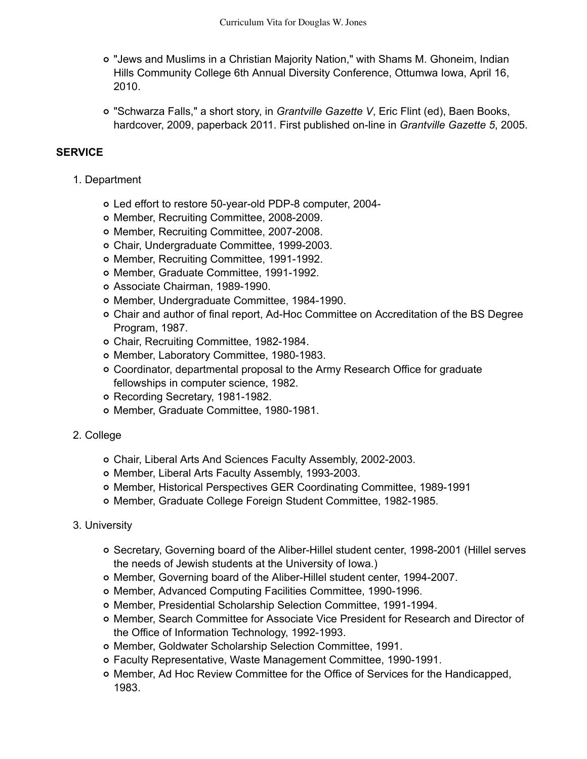- "Jews and Muslims in a Christian Majority Nation," with Shams M. Ghoneim, Indian Hills Community College 6th Annual Diversity Conference, Ottumwa Iowa, April 16, 2010.
- "Schwarza Falls," a short story, in *Grantville Gazette V*, Eric Flint (ed), Baen Books, hardcover, 2009, paperback 2011. First published on-line in *Grantville Gazette 5*, 2005.

### **SERVICE**

- 1. Department
	- Led effort to restore 50-year-old PDP-8 computer, 2004-
	- Member, Recruiting Committee, 2008-2009.
	- o Member, Recruiting Committee, 2007-2008.
	- Chair, Undergraduate Committee, 1999-2003.
	- o Member, Recruiting Committee, 1991-1992.
	- o Member, Graduate Committee, 1991-1992.
	- Associate Chairman, 1989-1990.
	- Member, Undergraduate Committee, 1984-1990.
	- Chair and author of final report, Ad-Hoc Committee on Accreditation of the BS Degree Program, 1987.
	- Chair, Recruiting Committee, 1982-1984.
	- Member, Laboratory Committee, 1980-1983.
	- Coordinator, departmental proposal to the Army Research Office for graduate fellowships in computer science, 1982.
	- Recording Secretary, 1981-1982.
	- o Member, Graduate Committee, 1980-1981.
- 2. College
	- Chair, Liberal Arts And Sciences Faculty Assembly, 2002-2003.
	- o Member, Liberal Arts Faculty Assembly, 1993-2003.
	- Member, Historical Perspectives GER Coordinating Committee, 1989-1991
	- Member, Graduate College Foreign Student Committee, 1982-1985.
- 3. University
	- Secretary, Governing board of the Aliber-Hillel student center, 1998-2001 (Hillel serves the needs of Jewish students at the University of Iowa.)
	- Member, Governing board of the Aliber-Hillel student center, 1994-2007.
	- Member, Advanced Computing Facilities Committee, 1990-1996.
	- Member, Presidential Scholarship Selection Committee, 1991-1994.
	- Member, Search Committee for Associate Vice President for Research and Director of the Office of Information Technology, 1992-1993.
	- o Member, Goldwater Scholarship Selection Committee, 1991.
	- Faculty Representative, Waste Management Committee, 1990-1991.
	- Member, Ad Hoc Review Committee for the Office of Services for the Handicapped, 1983.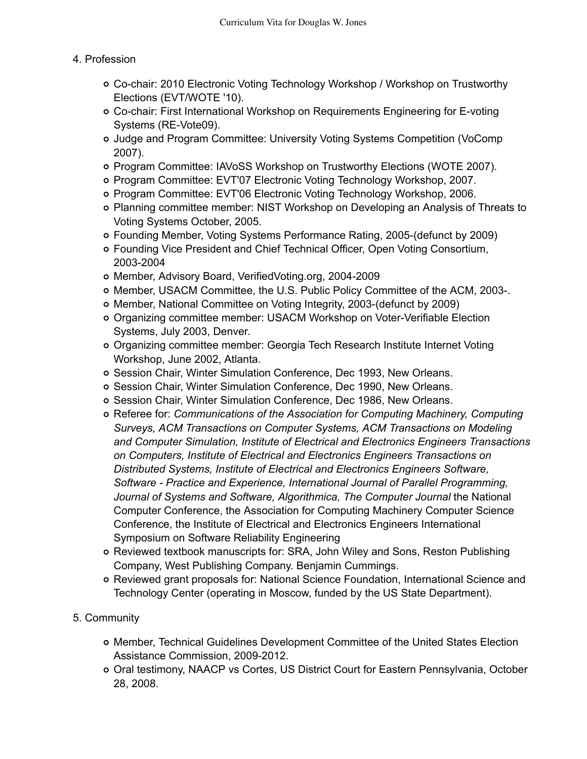### 4. Profession

- Co-chair: 2010 Electronic Voting Technology Workshop / Workshop on Trustworthy Elections (EVT/WOTE '10).
- Co-chair: First International Workshop on Requirements Engineering for E-voting Systems (RE-Vote09).
- Judge and Program Committee: University Voting Systems Competition (VoComp 2007).
- Program Committee: IAVoSS Workshop on Trustworthy Elections (WOTE 2007).
- Program Committee: EVT'07 Electronic Voting Technology Workshop, 2007.
- Program Committee: EVT'06 Electronic Voting Technology Workshop, 2006.
- Planning committee member: NIST Workshop on Developing an Analysis of Threats to Voting Systems October, 2005.
- Founding Member, Voting Systems Performance Rating, 2005-(defunct by 2009)
- Founding Vice President and Chief Technical Officer, Open Voting Consortium, 2003-2004
- Member, Advisory Board, VerifiedVoting.org, 2004-2009
- Member, USACM Committee, the U.S. Public Policy Committee of the ACM, 2003-.
- Member, National Committee on Voting Integrity, 2003-(defunct by 2009)
- Organizing committee member: USACM Workshop on Voter-Verifiable Election Systems, July 2003, Denver.
- Organizing committee member: Georgia Tech Research Institute Internet Voting Workshop, June 2002, Atlanta.
- o Session Chair, Winter Simulation Conference, Dec 1993, New Orleans.
- o Session Chair, Winter Simulation Conference, Dec 1990, New Orleans.
- o Session Chair, Winter Simulation Conference, Dec 1986, New Orleans.
- Referee for: *Communications of the Association for Computing Machinery, Computing Surveys, ACM Transactions on Computer Systems, ACM Transactions on Modeling and Computer Simulation, Institute of Electrical and Electronics Engineers Transactions on Computers, Institute of Electrical and Electronics Engineers Transactions on Distributed Systems, Institute of Electrical and Electronics Engineers Software, Software - Practice and Experience, International Journal of Parallel Programming, Journal of Systems and Software, Algorithmica, The Computer Journal* the National Computer Conference, the Association for Computing Machinery Computer Science Conference, the Institute of Electrical and Electronics Engineers International Symposium on Software Reliability Engineering
- Reviewed textbook manuscripts for: SRA, John Wiley and Sons, Reston Publishing Company, West Publishing Company. Benjamin Cummings.
- Reviewed grant proposals for: National Science Foundation, International Science and Technology Center (operating in Moscow, funded by the US State Department).

## 5. Community

- Member, Technical Guidelines Development Committee of the United States Election Assistance Commission, 2009-2012.
- Oral testimony, NAACP vs Cortes, US District Court for Eastern Pennsylvania, October 28, 2008.